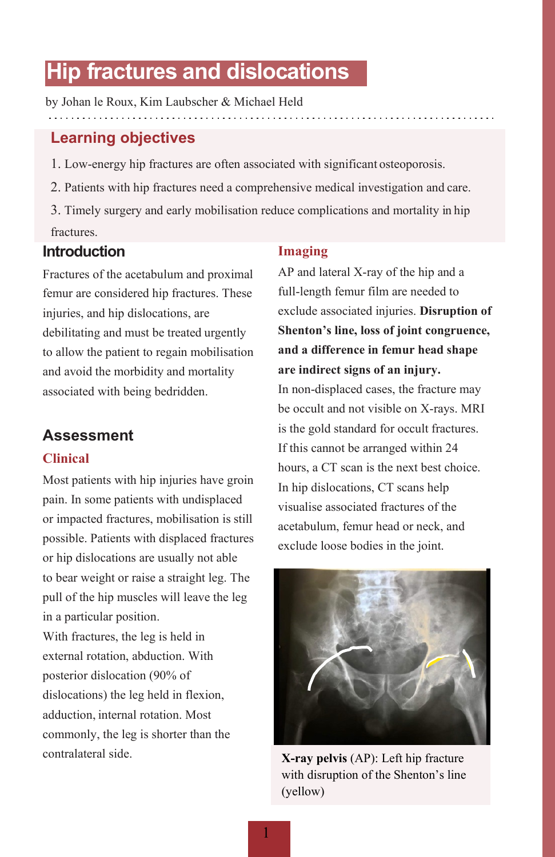# **Hip fractures and dislocations**

by Johan le Roux, Kim Laubscher & Michael Held

# **Learning objectives**

- 1. Low-energy hip fractures are often associated with significant osteoporosis.
- 2. Patients with hip fractures need a comprehensive medical investigation and care.
- 3. Timely surgery and early mobilisation reduce complications and mortality in hip fractures.

### **Introduction**

Fractures of the acetabulum and proximal femur are considered hip fractures. These injuries, and hip dislocations, are debilitating and must be treated urgently to allow the patient to regain mobilisation and avoid the morbidity and mortality associated with being bedridden.

### **Assessment**

### **Clinical**

Most patients with hip injuries have groin pain. In some patients with undisplaced or impacted fractures, mobilisation is still possible. Patients with displaced fractures or hip dislocations are usually not able to bear weight or raise a straight leg. The pull of the hip muscles will leave the leg in a particular position.

With fractures, the leg is held in external rotation, abduction. With posterior dislocation (90% of dislocations) the leg held in flexion, adduction, internal rotation. Most commonly, the leg is shorter than the contralateral side.

#### **Imaging**

AP and lateral X-ray of the hip and a full-length femur film are needed to exclude associated injuries. **Disruption of Shenton's line, loss of joint congruence, and a difference in femur head shape are indirect signs of an injury.**

In non-displaced cases, the fracture may be occult and not visible on X-rays. MRI is the gold standard for occult fractures. If this cannot be arranged within 24 hours, a CT scan is the next best choice. In hip dislocations, CT scans help visualise associated fractures of the acetabulum, femur head or neck, and exclude loose bodies in the joint.



**X-ray pelvis** (AP): Left hip fracture with disruption of the Shenton's line (yellow)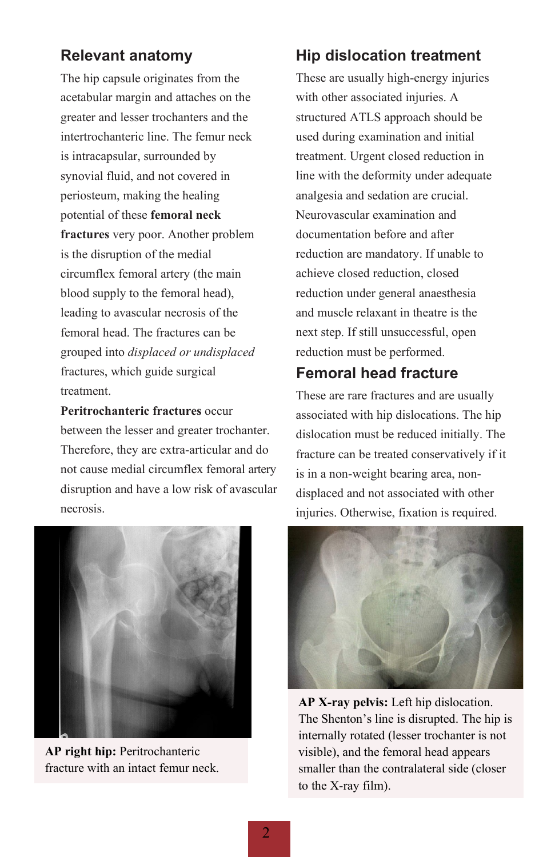# **Relevant anatomy**

The hip capsule originates from the acetabular margin and attaches on the greater and lesser trochanters and the intertrochanteric line. The femur neck is intracapsular, surrounded by synovial fluid, and not covered in periosteum, making the healing potential of these **femoral neck fractures** very poor. Another problem is the disruption of the medial circumflex femoral artery (the main blood supply to the femoral head), leading to avascular necrosis of the femoral head. The fractures can be grouped into *displaced or undisplaced*  fractures, which guide surgical treatment.

**Peritrochanteric fractures** occur between the lesser and greater trochanter. Therefore, they are extra-articular and do not cause medial circumflex femoral artery disruption and have a low risk of avascular necrosis.



**AP right hip:** Peritrochanteric fracture with an intact femur neck.

# **Hip dislocation treatment**

These are usually high-energy injuries with other associated injuries. A structured ATLS approach should be used during examination and initial treatment. Urgent closed reduction in line with the deformity under adequate analgesia and sedation are crucial. Neurovascular examination and documentation before and after reduction are mandatory. If unable to achieve closed reduction, closed reduction under general anaesthesia and muscle relaxant in theatre is the next step. If still unsuccessful, open reduction must be performed.

# **Femoral head fracture**

These are rare fractures and are usually associated with hip dislocations. The hip dislocation must be reduced initially. The fracture can be treated conservatively if it is in a non-weight bearing area, nondisplaced and not associated with other injuries. Otherwise, fixation is required.



**AP X-ray pelvis:** Left hip dislocation. The Shenton's line is disrupted. The hip is internally rotated (lesser trochanter is not visible), and the femoral head appears smaller than the contralateral side (closer to the X-ray film).